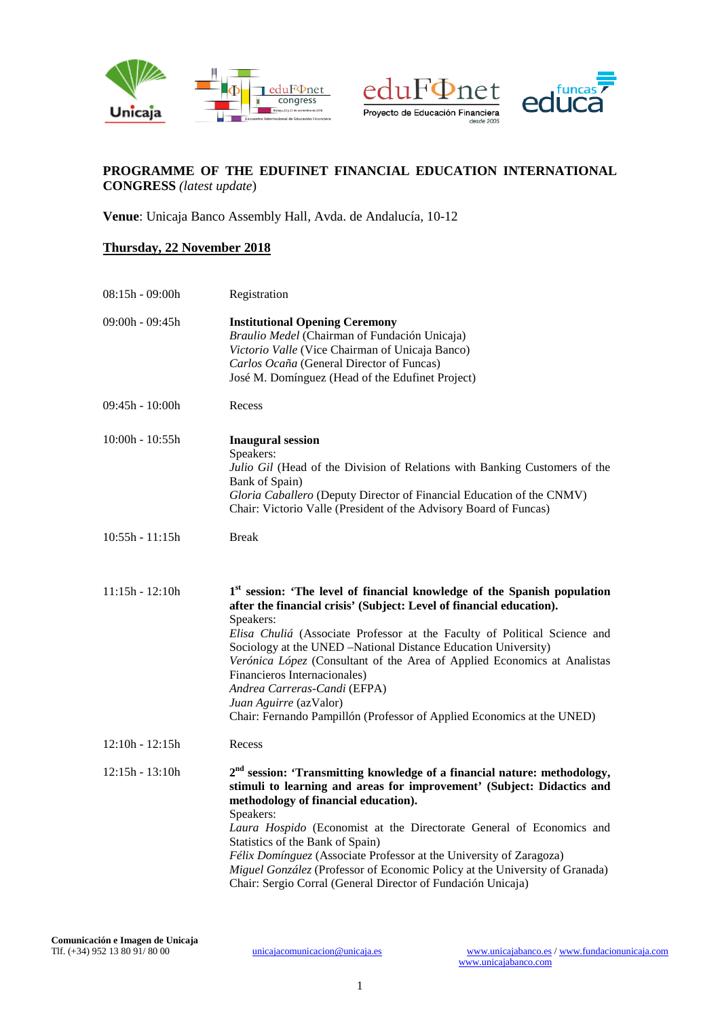





# **PROGRAMME OF THE EDUFINET FINANCIAL EDUCATION INTERNATIONAL CONGRESS** *(latest update*)

**Venue**: Unicaja Banco Assembly Hall, Avda. de Andalucía, 10-12

# **Thursday, 22 November 2018**

| $08:15h - 09:00h$ | Registration                                                                                                                                                                                                                                                                                                                                                                                                                                                                                                                                                             |
|-------------------|--------------------------------------------------------------------------------------------------------------------------------------------------------------------------------------------------------------------------------------------------------------------------------------------------------------------------------------------------------------------------------------------------------------------------------------------------------------------------------------------------------------------------------------------------------------------------|
| $09:00h - 09:45h$ | <b>Institutional Opening Ceremony</b><br>Braulio Medel (Chairman of Fundación Unicaja)<br>Victorio Valle (Vice Chairman of Unicaja Banco)<br>Carlos Ocaña (General Director of Funcas)<br>José M. Domínguez (Head of the Edufinet Project)                                                                                                                                                                                                                                                                                                                               |
| $09:45h - 10:00h$ | Recess                                                                                                                                                                                                                                                                                                                                                                                                                                                                                                                                                                   |
| $10:00h - 10:55h$ | <b>Inaugural session</b><br>Speakers:<br>Julio Gil (Head of the Division of Relations with Banking Customers of the<br>Bank of Spain)<br>Gloria Caballero (Deputy Director of Financial Education of the CNMV)<br>Chair: Victorio Valle (President of the Advisory Board of Funcas)                                                                                                                                                                                                                                                                                      |
| $10:55h - 11:15h$ | <b>Break</b>                                                                                                                                                                                                                                                                                                                                                                                                                                                                                                                                                             |
| $11:15h - 12:10h$ | 1 <sup>st</sup> session: 'The level of financial knowledge of the Spanish population<br>after the financial crisis' (Subject: Level of financial education).<br>Speakers:<br>Elisa Chuliá (Associate Professor at the Faculty of Political Science and<br>Sociology at the UNED -National Distance Education University)<br>Verónica López (Consultant of the Area of Applied Economics at Analistas<br>Financieros Internacionales)<br>Andrea Carreras-Candi (EFPA)<br>Juan Aguirre (azValor)<br>Chair: Fernando Pampillón (Professor of Applied Economics at the UNED) |
| $12:10h - 12:15h$ | Recess                                                                                                                                                                                                                                                                                                                                                                                                                                                                                                                                                                   |
| $12:15h - 13:10h$ | 2 <sup>nd</sup> session: 'Transmitting knowledge of a financial nature: methodology,<br>stimuli to learning and areas for improvement' (Subject: Didactics and<br>methodology of financial education).<br>Speakers:<br>Laura Hospido (Economist at the Directorate General of Economics and<br>Statistics of the Bank of Spain)<br>Félix Domínguez (Associate Professor at the University of Zaragoza)<br>Miguel González (Professor of Economic Policy at the University of Granada)<br>Chair: Sergio Corral (General Director of Fundación Unicaja)                    |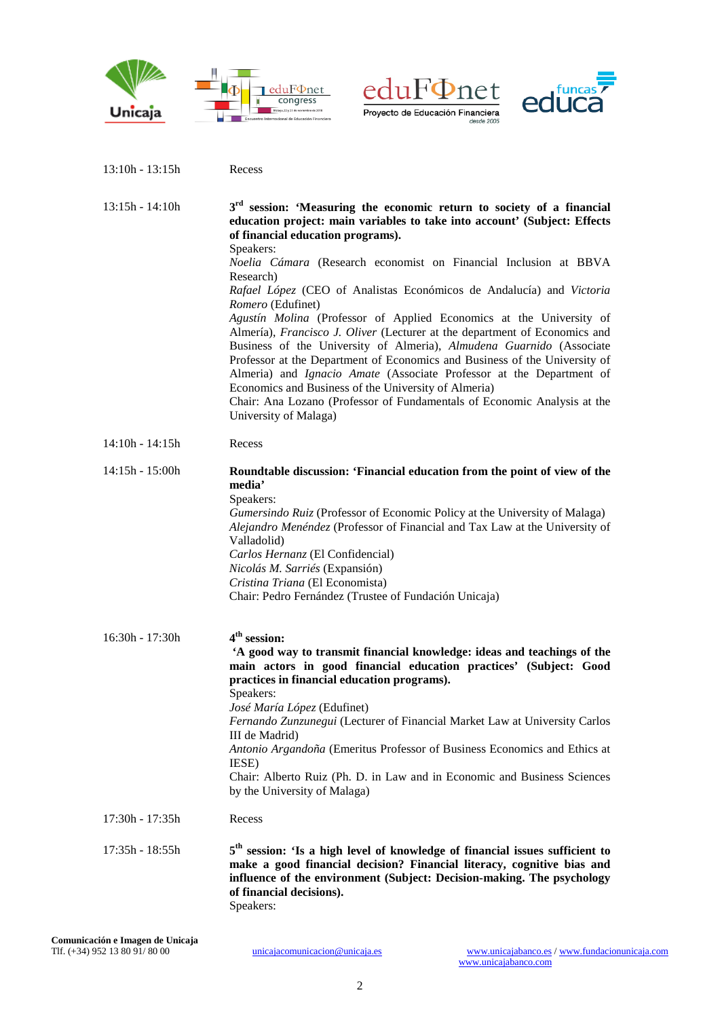

.<br>Maria alia 2015





| $13:15h - 14:10h$ | 3 <sup>rd</sup> session: 'Measuring the economic return to society of a financial<br>education project: main variables to take into account' (Subject: Effects<br>of financial education programs).<br>Speakers:<br>Noelia Cámara (Research economist on Financial Inclusion at BBVA<br>Research)<br>Rafael López (CEO of Analistas Económicos de Andalucía) and Victoria<br>Romero (Edufinet)<br>Agustín Molina (Professor of Applied Economics at the University of<br>Almería), Francisco J. Oliver (Lecturer at the department of Economics and<br>Business of the University of Almeria), Almudena Guarnido (Associate<br>Professor at the Department of Economics and Business of the University of<br>Almeria) and Ignacio Amate (Associate Professor at the Department of<br>Economics and Business of the University of Almeria)<br>Chair: Ana Lozano (Professor of Fundamentals of Economic Analysis at the<br>University of Malaga) |
|-------------------|------------------------------------------------------------------------------------------------------------------------------------------------------------------------------------------------------------------------------------------------------------------------------------------------------------------------------------------------------------------------------------------------------------------------------------------------------------------------------------------------------------------------------------------------------------------------------------------------------------------------------------------------------------------------------------------------------------------------------------------------------------------------------------------------------------------------------------------------------------------------------------------------------------------------------------------------|
| $14:10h - 14:15h$ | Recess                                                                                                                                                                                                                                                                                                                                                                                                                                                                                                                                                                                                                                                                                                                                                                                                                                                                                                                                         |
| $14:15h - 15:00h$ | Roundtable discussion: 'Financial education from the point of view of the<br>media'<br>Speakers:<br>Gumersindo Ruiz (Professor of Economic Policy at the University of Malaga)<br>Alejandro Menéndez (Professor of Financial and Tax Law at the University of<br>Valladolid)<br>Carlos Hernanz (El Confidencial)<br>Nicolás M. Sarriés (Expansión)<br>Cristina Triana (El Economista)<br>Chair: Pedro Fernández (Trustee of Fundación Unicaja)                                                                                                                                                                                                                                                                                                                                                                                                                                                                                                 |
| $16:30h - 17:30h$ | 4 <sup>th</sup> session:<br>'A good way to transmit financial knowledge: ideas and teachings of the<br>main actors in good financial education practices' (Subject: Good<br>practices in financial education programs).<br>Speakers:<br>José María López (Edufinet)<br>Fernando Zunzunegui (Lecturer of Financial Market Law at University Carlos<br>III de Madrid)<br>Antonio Argandoña (Emeritus Professor of Business Economics and Ethics at<br>IESE)<br>Chair: Alberto Ruiz (Ph. D. in Law and in Economic and Business Sciences<br>by the University of Malaga)                                                                                                                                                                                                                                                                                                                                                                          |
| 17:30h - 17:35h   | Recess                                                                                                                                                                                                                                                                                                                                                                                                                                                                                                                                                                                                                                                                                                                                                                                                                                                                                                                                         |
| 17:35h - 18:55h   | $5th$ session: 'Is a high level of knowledge of financial issues sufficient to<br>make a good financial decision? Financial literacy, cognitive bias and<br>influence of the environment (Subject: Decision-making. The psychology<br>of financial decisions).<br>Speakers:                                                                                                                                                                                                                                                                                                                                                                                                                                                                                                                                                                                                                                                                    |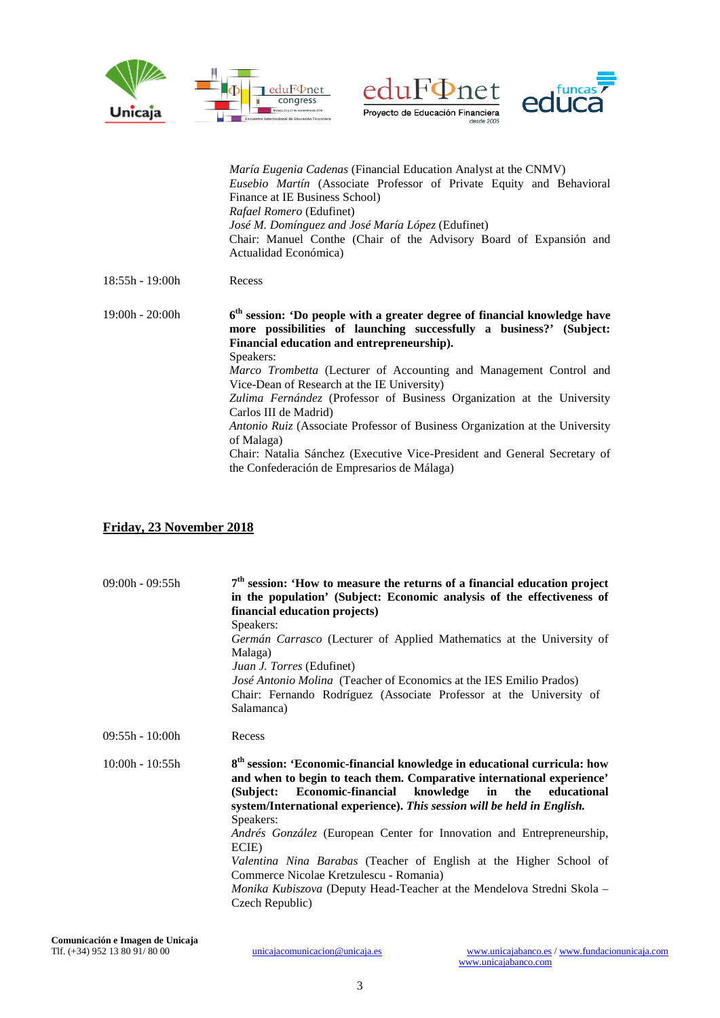





|                   | <i>María Eugenia Cadenas</i> (Financial Education Analyst at the CNMV)                                                                                                                           |
|-------------------|--------------------------------------------------------------------------------------------------------------------------------------------------------------------------------------------------|
|                   | <i>Eusebio Martín</i> (Associate Professor of Private Equity and Behavioral<br>Finance at IE Business School)                                                                                    |
|                   | <i>Rafael Romero</i> (Edufinet)                                                                                                                                                                  |
|                   | <i>José M. Domínguez and José María López</i> (Edufinet)                                                                                                                                         |
|                   | Chair: Manuel Conthe (Chair of the Advisory Board of Expansion and                                                                                                                               |
|                   | Actualidad Económica)                                                                                                                                                                            |
| $18:55h - 19:00h$ | Recess                                                                                                                                                                                           |
|                   |                                                                                                                                                                                                  |
| $19:00h - 20:00h$ | $6th$ session: 'Do people with a greater degree of financial knowledge have<br>more possibilities of launching successfully a business?' (Subject:<br>Financial education and entrepreneurship). |
|                   | Speakers:<br>Marco Trombetta (Lecturer of Accounting and Management Control and                                                                                                                  |
|                   | Vice-Dean of Research at the IE University)<br>Zulima Fernández (Professor of Business Organization at the University<br>Carlos III de Madrid)                                                   |
|                   | Antonio Ruiz (Associate Professor of Business Organization at the University<br>of Malaga)                                                                                                       |
|                   | Chair: Natalia Sánchez (Executive Vice-President and General Secretary of<br>the Confederación de Empresarios de Málaga)                                                                         |

# **Friday, 23 November 2018**

| $09:00h - 09:55h$ | 7 <sup>th</sup> session: 'How to measure the returns of a financial education project<br>in the population' (Subject: Economic analysis of the effectiveness of<br>financial education projects)<br>Speakers:<br>Germán Carrasco (Lecturer of Applied Mathematics at the University of<br>Malaga)<br>Juan J. Torres (Edufinet)<br><i>José Antonio Molina</i> (Teacher of Economics at the IES Emilio Prados)<br>Chair: Fernando Rodríguez (Associate Professor at the University of<br>Salamanca)                                                                                                                      |
|-------------------|------------------------------------------------------------------------------------------------------------------------------------------------------------------------------------------------------------------------------------------------------------------------------------------------------------------------------------------------------------------------------------------------------------------------------------------------------------------------------------------------------------------------------------------------------------------------------------------------------------------------|
| $09:55h - 10:00h$ | Recess                                                                                                                                                                                                                                                                                                                                                                                                                                                                                                                                                                                                                 |
| $10:00h - 10:55h$ | 8 <sup>th</sup> session: 'Economic-financial knowledge in educational curricula: how<br>and when to begin to teach them. Comparative international experience'<br>Economic-financial knowledge in the educational<br>(Subject:<br>system/International experience). This session will be held in English.<br>Speakers:<br>Andrés González (European Center for Innovation and Entrepreneurship,<br>ECIE)<br>Valentina Nina Barabas (Teacher of English at the Higher School of<br>Commerce Nicolae Kretzulescu - Romania)<br>Monika Kubiszova (Deputy Head-Teacher at the Mendelova Stredni Skola -<br>Czech Republic) |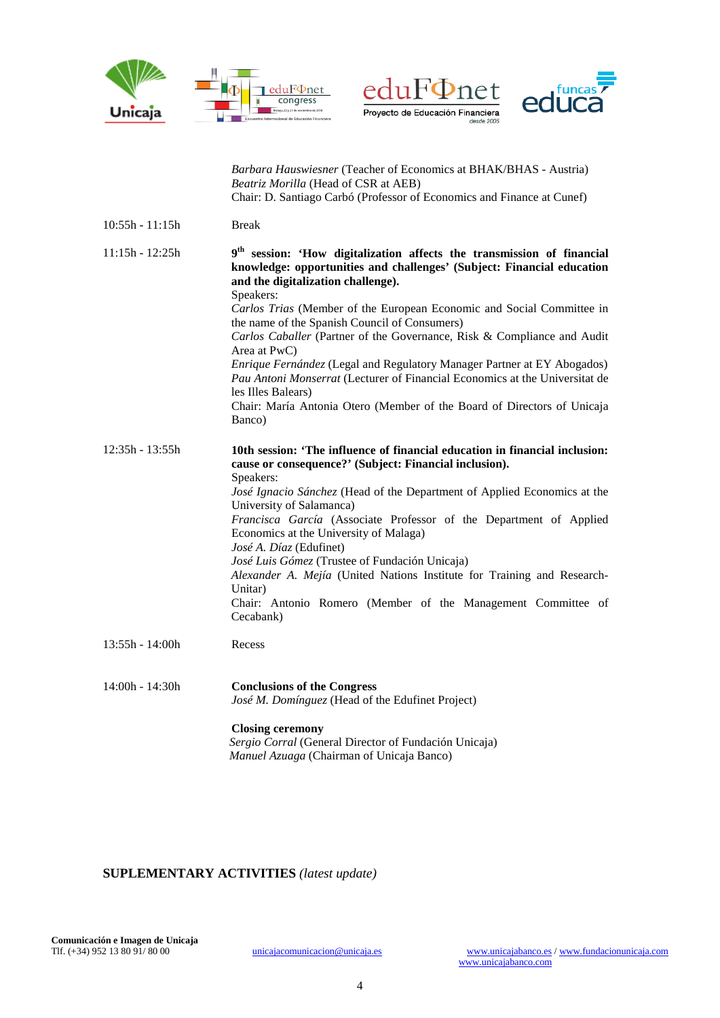





|                   | Barbara Hauswiesner (Teacher of Economics at BHAK/BHAS - Austria)<br>Beatriz Morilla (Head of CSR at AEB)<br>Chair: D. Santiago Carbó (Professor of Economics and Finance at Cunef)                                                                                                                                                                                                                                                                                                                                                                                                                                                                                                                       |
|-------------------|-----------------------------------------------------------------------------------------------------------------------------------------------------------------------------------------------------------------------------------------------------------------------------------------------------------------------------------------------------------------------------------------------------------------------------------------------------------------------------------------------------------------------------------------------------------------------------------------------------------------------------------------------------------------------------------------------------------|
| $10:55h - 11:15h$ | <b>Break</b>                                                                                                                                                                                                                                                                                                                                                                                                                                                                                                                                                                                                                                                                                              |
| $11:15h - 12:25h$ | 9 <sup>th</sup> session: 'How digitalization affects the transmission of financial<br>knowledge: opportunities and challenges' (Subject: Financial education<br>and the digitalization challenge).<br>Speakers:<br>Carlos Trias (Member of the European Economic and Social Committee in<br>the name of the Spanish Council of Consumers)<br>Carlos Caballer (Partner of the Governance, Risk & Compliance and Audit<br>Area at PwC)<br>Enrique Fernández (Legal and Regulatory Manager Partner at EY Abogados)<br>Pau Antoni Monserrat (Lecturer of Financial Economics at the Universitat de<br>les Illes Balears)<br>Chair: María Antonia Otero (Member of the Board of Directors of Unicaja<br>Banco) |
| 12:35h - 13:55h   | 10th session: 'The influence of financial education in financial inclusion:<br>cause or consequence?' (Subject: Financial inclusion).<br>Speakers:<br>José Ignacio Sánchez (Head of the Department of Applied Economics at the<br>University of Salamanca)<br>Francisca García (Associate Professor of the Department of Applied<br>Economics at the University of Malaga)<br>José A. Díaz (Edufinet)<br>José Luis Gómez (Trustee of Fundación Unicaja)<br>Alexander A. Mejía (United Nations Institute for Training and Research-<br>Unitar)<br>Chair: Antonio Romero (Member of the Management Committee of<br>Cecabank)                                                                                |
| 13:55h - 14:00h   | Recess                                                                                                                                                                                                                                                                                                                                                                                                                                                                                                                                                                                                                                                                                                    |
| 14:00h - 14:30h   | <b>Conclusions of the Congress</b><br>José M. Domínguez (Head of the Edufinet Project)<br><b>Closing ceremony</b>                                                                                                                                                                                                                                                                                                                                                                                                                                                                                                                                                                                         |
|                   | Sergio Corral (General Director of Fundación Unicaja)<br>Manuel Azuaga (Chairman of Unicaja Banco)                                                                                                                                                                                                                                                                                                                                                                                                                                                                                                                                                                                                        |

## **SUPLEMENTARY ACTIVITIES** *(latest update)*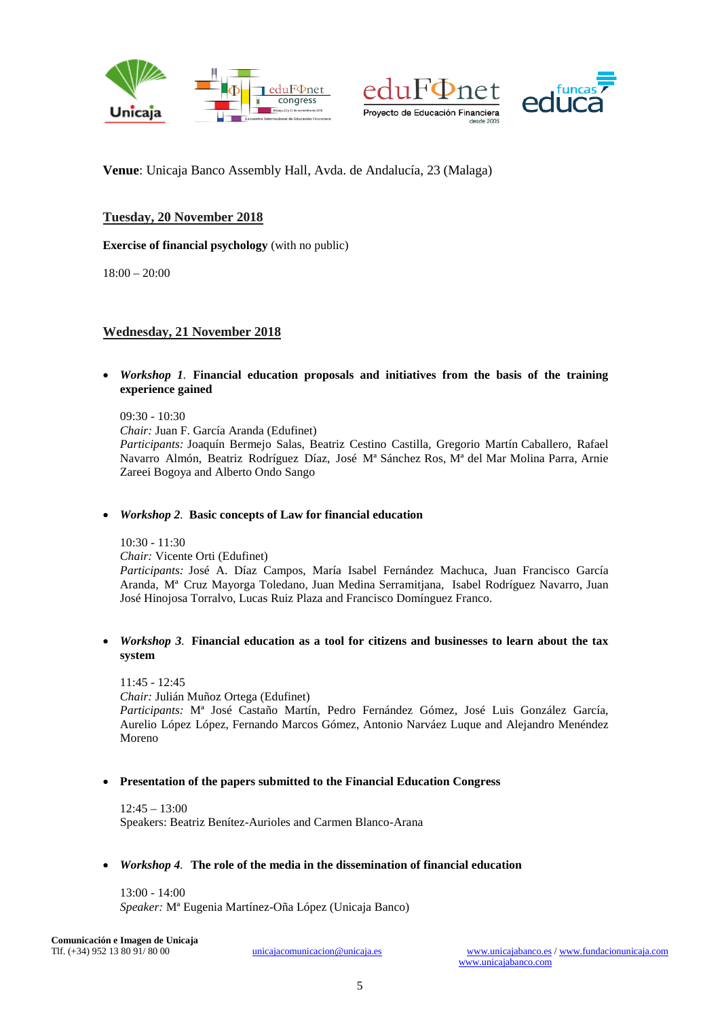

![](_page_4_Picture_1.jpeg)

![](_page_4_Picture_2.jpeg)

**Venue**: Unicaja Banco Assembly Hall, Avda. de Andalucía, 23 (Malaga)

## **Tuesday, 20 November 2018**

**Exercise of financial psychology** (with no public)

18:00 – 20:00

## **Wednesday, 21 November 2018**

• *Workshop 1.* **Financial education proposals and initiatives from the basis of the training experience gained**

09:30 - 10:30 *Chair:* Juan F. García Aranda (Edufinet) *Participants:* Joaquín Bermejo Salas, Beatriz Cestino Castilla, Gregorio Martín Caballero, Rafael Navarro Almón, Beatriz Rodríguez Díaz, José Mª Sánchez Ros, Mª del Mar Molina Parra, Arnie Zareei Bogoya and Alberto Ondo Sango

#### • *Workshop 2.* **Basic concepts of Law for financial education**

10:30 - 11:30 *Chair:* Vicente Orti (Edufinet) *Participants:* José A. Díaz Campos, María Isabel Fernández Machuca, Juan Francisco García Aranda, Mª Cruz Mayorga Toledano, Juan Medina Serramitjana, Isabel Rodríguez Navarro, Juan José Hinojosa Torralvo, Lucas Ruiz Plaza and Francisco Domínguez Franco.

### • *Workshop 3.* **Financial education as a tool for citizens and businesses to learn about the tax system**

11:45 - 12:45 *Chair:* Julián Muñoz Ortega (Edufinet) *Participants:* Mª José Castaño Martín, Pedro Fernández Gómez, José Luis González García, Aurelio López López, Fernando Marcos Gómez, Antonio Narváez Luque and Alejandro Menéndez Moreno

## • **Presentation of the papers submitted to the Financial Education Congress**

12:45 – 13:00 Speakers: Beatriz Benítez-Aurioles and Carmen Blanco-Arana

#### • *Workshop 4.* **The role of the media in the dissemination of financial education**

13:00 - 14:00 *Speaker:* Mª Eugenia Martínez-Oña López (Unicaja Banco)

**Comunicación e Imagen de Unicaja**